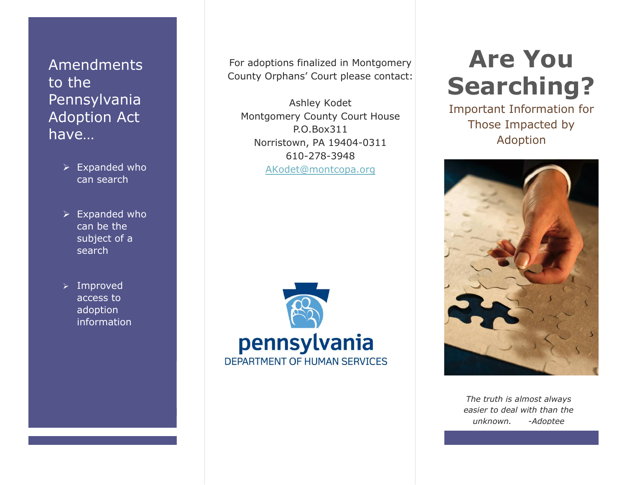Amendments to the Pennsylvania Adoption Act have…

- $\triangleright$  Expanded who can search
- $\triangleright$  Expanded who can be the subject of a search
- $\triangleright$  Improved access to adoption information

For adoptions finalized in Montgomery County Orphans' Court please contact:

Ashley Kodet Montgomery County Court House P.O.Box311 Norristown, PA 19404-0311 610-278-3948 AKodet@montcopa.org



# **Are You Searching?**

Important Information for Those Impacted by Adoption



*The truth is almost always easier to deal with than the unknown. -Adoptee*